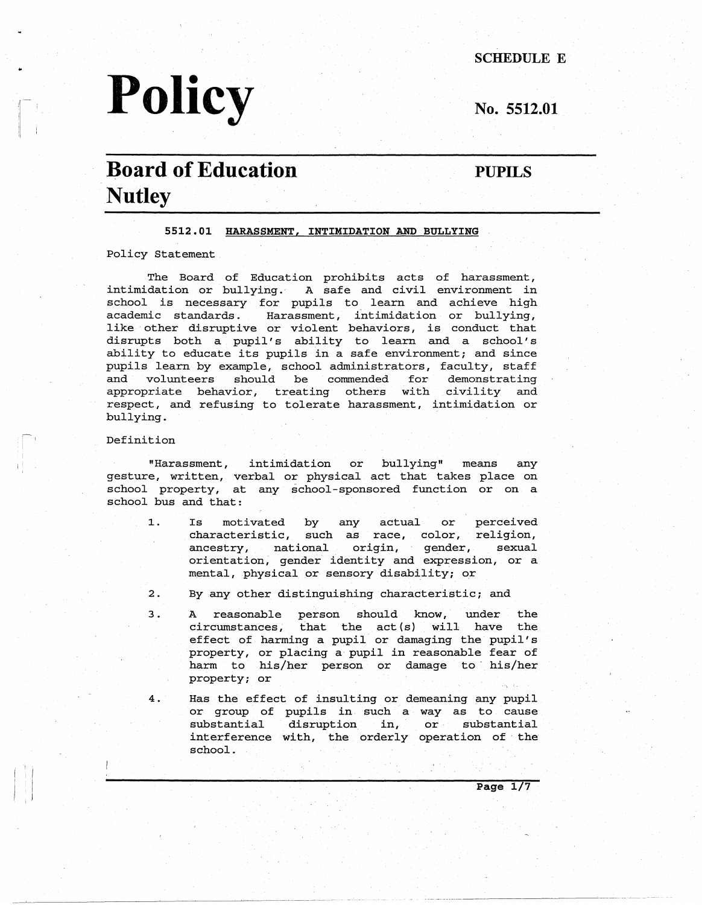# .. **SCHEDULE E**  Policy No. 5512.01

## **Board of Education Nutley**

**PUPILS** 

#### **5512.01 HARASSMENT, INTIMIDATION AND BULLYING**

Policy Statement

The Board of Education prohibits acts of harassment, intimidation or bullying. A safe and civil environment in school is necessary for pupils to learn and achieve high academic standards. Harassment, intimidation or bullying, like other disruptive or violent behaviors, is conduct that disrupts both a pupil's ability to learn and a school's ability to educate its pupils in a safe environment; and since pupils learn by example, school administrators, faculty, staff and volunteers should be commended for demonstrating appropriate behavior, treating others with civility and respect, and refusing to tolerate harassment, intimidation or bullying.

#### Definition

"Harassment, intimidation or bullying" means any gesture, written, verbal or physical act that takes place on school property, at any school-sponsored function or on a school bus and that:

- 1. Is motivated by any actual or characteristic, such as race, color, religi ancestry, national origin, gender, sexua perceived orientation, gender identity and expression, or a mental, physical or sensory disability; or
- 2. By any other distinguishing characteristic; and
- 3. A reasonable person should know, under the circumstances, that the act{s) will have the  $effect$  of harming a pupil or damaging the pupil property, or placing a pupil in reasonable fear of harm to his/her person or damage to his/her property; or
- 4. Has the effect of insulting or demeaning any pupil or group of pupils in such a way as to cause substantial disruption in, or substantial interference with, the orderly operation of the school.

**Page 1/7**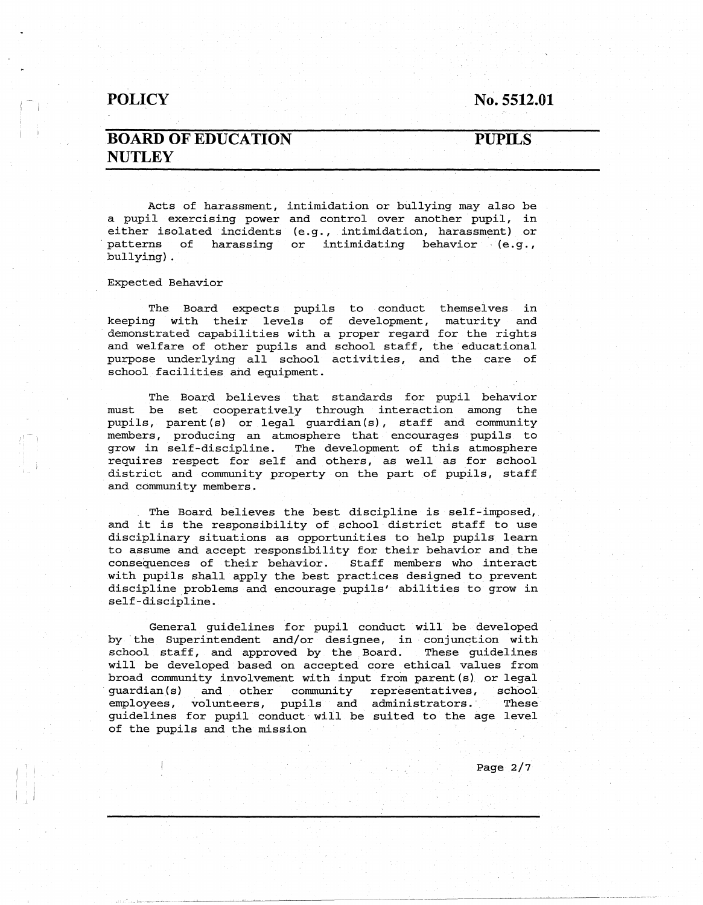#### **No. 5512.01**

## **BOARD OF EDUCATION NUTLEY**

#### **PUPILS**

Acts of harassment, intimidation or bullying may also be a pupil exercising power and control over another pupil, in either isolated incidents (e.g., intimidation, harassment) or patterns of harassing or intimidating behavior (e.g., bullying).

Expected Behavior

I I  $\prod_{i=1}^l$ 

The Board expects pupils to conduct themselves in keeping with their levels of development, maturity and demonstrated capabilities with a proper regard for the rights and welfare of other pupils and school staff, the educational purpose underlying all school activities, and the care of school facilities and equipment.

The Board believes that standards for pupil behavior must be set cooperatively through interaction among the pupils, parent (s) or legal guardian(s), staff and community members, producing an atmosphere that encourages pupils to grow in self-discipline. The development of this atmosphere requires respect for self and others, as well as for school district and community property on the part of pupils, staff and community members.

The Board believes the best discipline is self-imposed,. and it is the responsibility of school district staff to use disciplinary situations as opportunities to help pupils learn to assume and accept responsibility for their behavior and. the consequences of their behavior. Staff members who interact with pupils shall apply the best practices designed to prevent discipline problems and encourage pupils' abilities to grow in self-discipline.

General guidelines for pupil conduct will be developed by the Superintendent and/or designee, in conjunction with school staff, and approved by the Board. These guidelines will be developed based on accepted core ethical values from broad community involvement with input from parent (s) or legal guardian(s) and other community representatives, school employees, volunteers, pupils and administrators. These guidelines for pupil conduct will be suited to the age level of the pupils and the mission

Page 2/7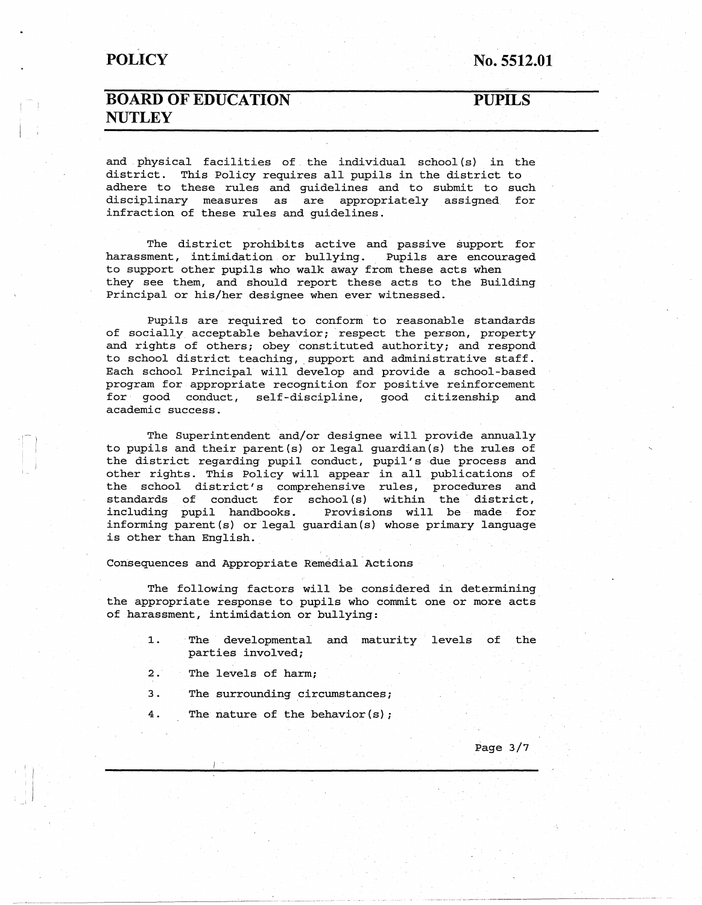**No. 5512.01** 

## **BOARD OF EDUCATION NUTLEY**

**PUPILS** 

and physical facilities of the individual school {s) in the district. This Policy requires all pupils in the district to adhere to these rules and guidelines and to submit to such disciplinary measures as are appropriately assigned for infraction of these rules and guidelines.

The district prohibits active and passive support for harassment, intimidation or bullying. Pupils are encouraged to support other pupils who walk away from these acts when they see them, and should report these acts to the Building Principal or his/her designee when ever witnessed.

Pupils are required to conform to reasonable standards of socially acceptable behavior; respect the person, property and rights of others; obey constituted authority; and respond to school district teaching, support and administrative staff. Each school Principal will develop and provide a school-based program for appropriate recognition for positive reinforcement for good conduct, self-discipline, good citizenship and academic success.

The Superintendent and/or designee will provide annually to pupils and their parent(s) or legal guardian (s) the rules of the district regarding pupil conduct, pupil's due process and other rights. This Policy will appear in all publications of the school district's comprehensive rules, procedures and  $standards$  of  $conduct$  for  $school(s)$  within the  $distri$ including pupil handbooks. Provisions will be made for informing parent(s) or legal guardian(s) whose primary language is other than English.

Consequences and Appropriate Remedial.Actions

The following factors will be considered in determining the appropriate response to pupils who commit one or more acts of harassment, intimidation or bullying:

- 1. The developmental and maturity levels of the parties involved;
- 2. The levels of harm;
- 3. The surrounding circumstances;
- 4. The nature of the behavior(s);

Page 3/7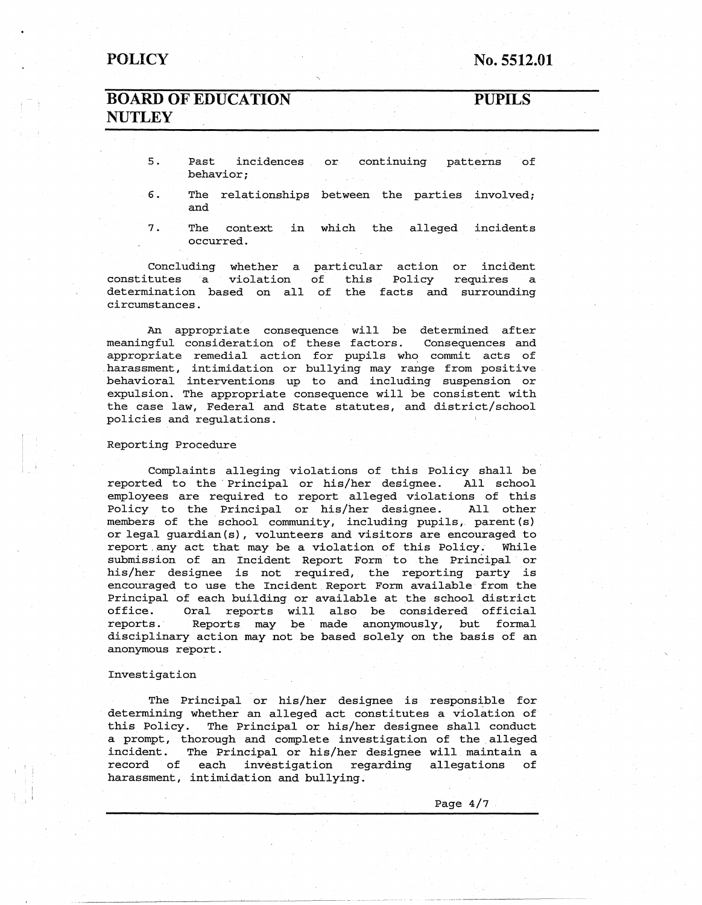**No. 5512.01** 

## **BOARD OF EDUCATION NUTLEY**

**PUPILS** 

- 5. Past incidences behavior; continuing patterns of
- 6. The relationships between the parties involved; and
- 7. The context in which the alleged incidents occurred.

Concluding whether a particular action or incide constitutes a violation of this Policy requires a determination based on all of the facts and surrounding circumstances.

An appropriate consequence will be determined after meaningful consideration of these factors. Consequences and appropriate remedial action for pupils who commit acts of harassment, intimidation or bullying may range from positive behavioral interventions up to and including suspension or expulsion. The appropriate consequence will be consistent with the case law, Federal and State statutes, and district/ school policies and regulations.

#### Reporting Procedure

Complaints alleging violations of this Policy shall be reported to the Principal or his/her designee. All school employees are required to report alleged violations of this Policy to the Principal or his/her designee. All other members of the school community, including pupils, parent (s) or legal guardian(s), volunteers and visitors are encouraged to report.any act that may be a violation of this Policy. While submission of an Incident Report Form to the Principal or his/her designee is not required, the reporting party is encouraged to use the Incident Report Form available from the Principal of each building or available at the school district office. Oral reports will also be considered official reports. Reports may be made anonymously, but formal disciplinary action may not be based solely on the basis of an anonymous report.

#### Investigation

The Principal or his/her designee is responsible for determining whether an alleged act constitutes a violation of this Policy. The Principal or his/her designee shall conduct a prompt, thorough and complete investigation of the alleged incident. The Principal or his/her designee will maintain a record of each investigation regarding allegations of harassment, intimidation and bullying.

Page 4/7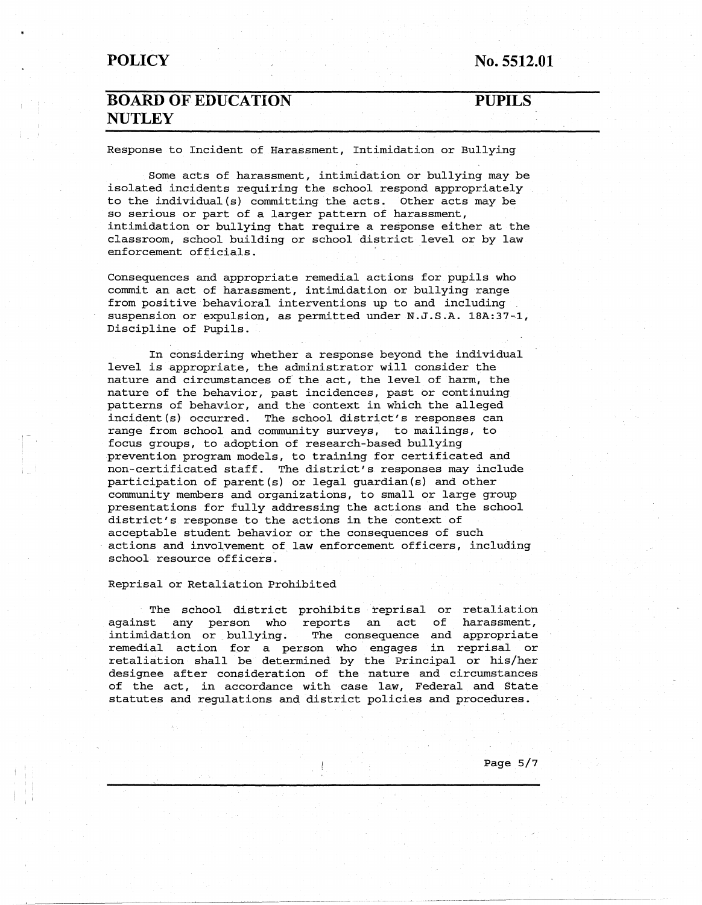**No. 5512.01** 

## **BOARD OF EDUCATION NUTLEY**

#### **PUPILS**

Response to Incident of Harassment, Intimidation or Bullying

Some acts of harassment, intimidation or bullying may be isolated incidents requiring the school respond appropriately to the individual(s) committing the acts. Other acts may be so serious or part of a larger pattern of harassment, intimidation or bullying that require a response either at the classroom, school building or school district level or by law enforcement officials.

Consequences and appropriate remedial actions for pupils who commit an act of harassment, intimidation or bullying range from positive behavioral interventions up to and including suspension or expulsion, as permitted under N.J.S.A. lBA:37-1, Discipline of Pupils.

In considering whether a response beyond the individual level is appropriate, the administrator will consider the nature and circumstances of the act, the level of harm, the nature of the behavior, past incidences, past or continuing patterns of behavior, and the context in which the alleged incident(s) occurred. The school district's responses can range from school and community surveys, to mailings, to focus groups, to adoption of research-based bullying prevention program models, to training for certificated and non-certificated staff. The district's responses may include participation of parent(s} or legal guardian(s) and other community members and organizations, to small or large group presentations for fully addressing the actions and the school district's response to the actions in the context of acceptable student behavior or the consequences of such actions and involvement of law enforcement officers, including school resource officers.

Reprisal or Retaliation Prohibited

The school district prohibits reprisal or retaliation against any person who reports an act of harassment, intimidation or bullying. The consequence and appropriate remedial action for a person who engages in reprisal or retaliation shall be determined by the Principal or his/her designee after consideration of the nature and circumstances of the act, in accordance with case law, Federal and State statutes and regulations and district policies and procedures.

Page 5/7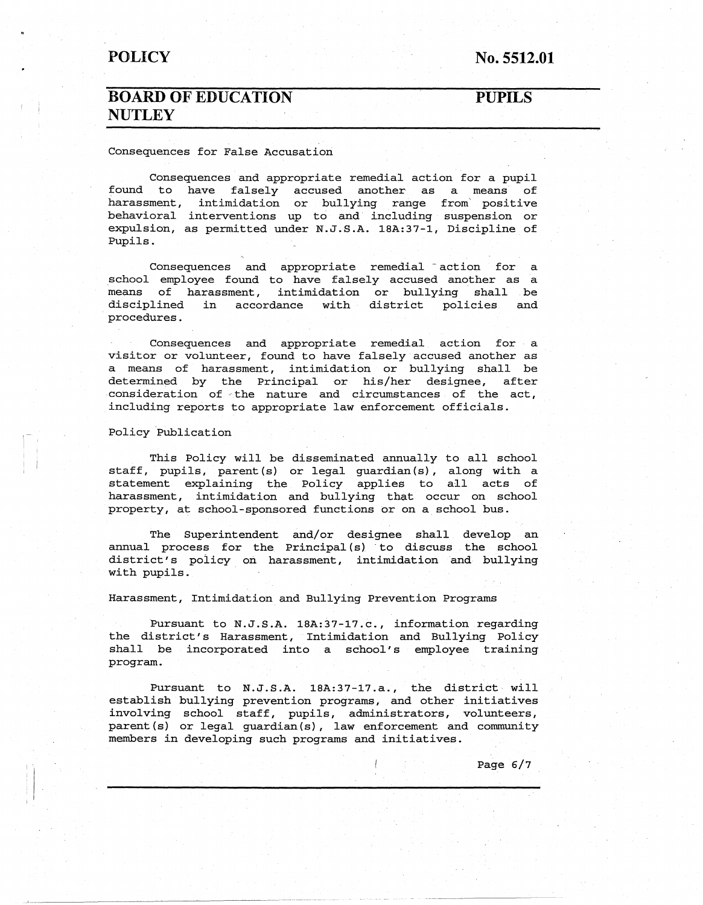#### **No. 5512.01**

## **BOARD OF EDUCATION NUTLEY**

#### **PUPILS**

#### Consequences for False Accusation

Consequences and appropriate remedial action for a pupil found to have falsely accused another as a means of harassment, intimidation or bullying range from' positive behavioral interventions up to and including suspension or expulsion, as permitted under N.J.S.A. lSA:37-1, Discipline of Pupils.

Consequences and appropriate remedial action for a school employee found to have falsely accused another as a means of harassment, intimidation or bullying shall be disciplined in accordance with district policies and · procedures.

Consequences and appropriate remedial action for a visitor or volunteer, found to have falsely accused another as a means of harassment, intimidation or bullying shall be determined by the Principal or his/her designee, after consideration of the nature and circumstances of the act, including reports to appropriate law enforcement officials.

#### Policy Publication

This Policy will be disseminated annually to all school staff, pupils, parent (s) or legal guardian (s) , along with a statement explaining the Policy applies to all acts of harassment, intimidation and bullying that occur on school property, at school-sponsored functions or on a school bus.

The Superintendent and/or designee shall develop an annual process for the Principal (s) to discuss the school district's policy on harassment, intimidation and bullying with pupils.

Harassment, Intimidation and Bullying Prevention Programs

Pursuant to N.J.S.A. 18A:37-17.c., information regarding the district's Harassment, Intimidation and Bullying Policy shall be incorporated into a school's employee training program.

Pursuant to N.J.S.A. lSA:37-17.a., the district will establish bullying prevention programs, and other initiatives involving school staff, pupils, administrators, volunteers, parent(s) or legal guardian(s), law enforcement and community members in developing such programs and initiatives.

Page 6/7